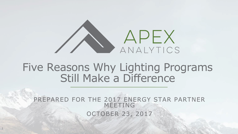

## Five Reasons Why Lighting Programs Still Make a Difference

PREPARED FOR THE 2017 ENERGY STAR PARTNER MEETING OCTOBER 23, 2017

1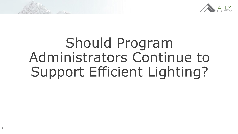

# Should Program Administrators Continue to Support Efficient Lighting?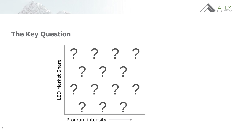

## **The Key Question**

State of the Sea

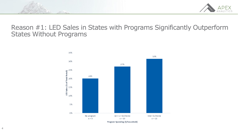

Reason #1: LED Sales in States with Programs Significantly Outperform States Without Programs

all and

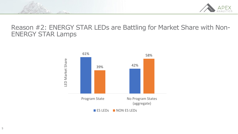

#### Reason #2: ENERGY STAR LEDs are Battling for Market Share with Non-ENERGY STAR Lamps

all and a

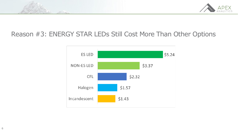

### Reason #3: ENERGY STAR LEDs Still Cost More Than Other Options

all color

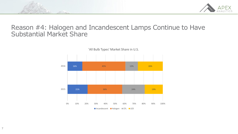

#### Reason #4: Halogen and Incandescent Lamps Continue to Have Substantial Market Share

all also



'All Bulb Types' Market Share in U.S.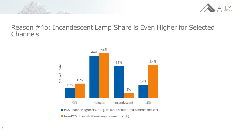

Reason #4b: Incandescent Lamp Share is Even Higher for Selected **Channels** 



POS Channels (grocery, drug, dollar, discount, mass merchandiser)

Non-POS Channels (home improvement, club)

10 miles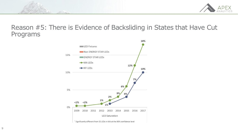

Reason #5: There is Evidence of Backsliding in States that Have Cut Programs

10 miles



9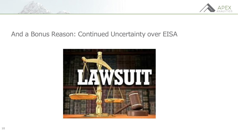

#### And a Bonus Reason: Continued Uncertainty over EISA

all man